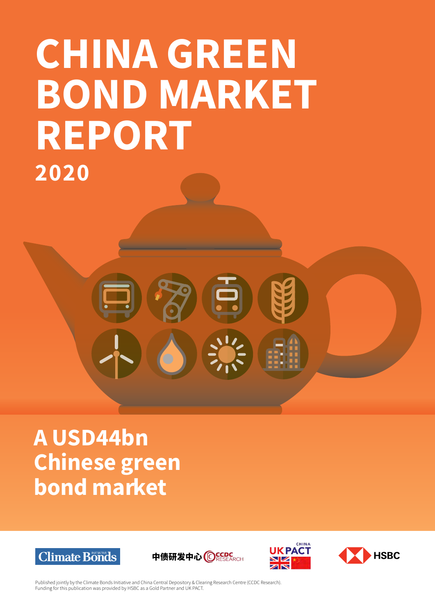# CHINA GREEN BOND MARKET REPORT 2020

# A USD44bn Chinese green bond market









Published jointly by the Climate Bonds Initiative and China Central Depository & Clearing Research Centre (CCDC Research). Funding for this publication was provided by HSBC as a Gold Partner and UK PACT.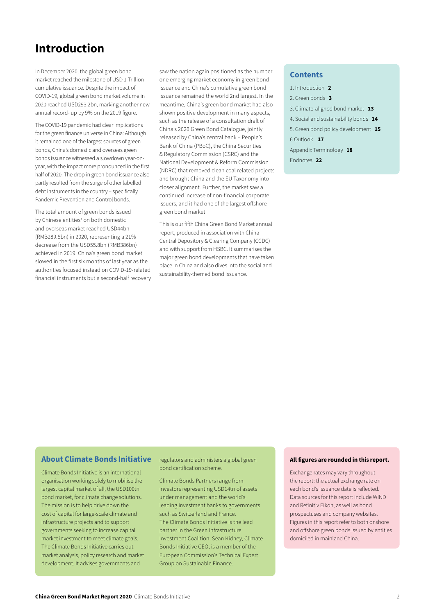## Introduction

In December 2020, the global green bond market reached the milestone of USD 1 Trillion cumulative issuance. Despite the impact of COVID-19, global green bond market volume in 2020 reached USD293.2bn, marking another new annual record- up by 9% on the 2019 figure.

The COVID-19 pandemic had clear implications for the green finance universe in China: Although it remained one of the largest sources of green bonds, China's domestic and overseas green bonds issuance witnessed a slowdown year-onyear, with the impact more pronounced in the first half of 2020. The drop in green bond issuance also partly resulted from the surge of other labelled debt instruments in the country – specifically Pandemic Prevention and Control bonds.

The total amount of green bonds issued by Chinese entities<sup>1</sup> on both domestic and overseas market reached USD44bn (RMB289.5bn) in 2020, representing a 21% decrease from the USD55.8bn (RMB386bn) achieved in 2019. China's [green bond](https://www.pv-magazine.com/2017/05/12/china-key-to-growth-of-green-bond-market-in-2016/) market slowed in the first six months of last year as the authorities focused instead on COVID-19-related financial instruments but a second-half recovery

saw the nation again positioned as the number one emerging market economy in green bond issuance and China's cumulative green bond issuance remained the world 2nd largest. In the meantime, China's green bond market had also shown positive development in many aspects, such as the release of a consultation draft of China's [2020 Green Bond Catalogue](http://www.pbc.gov.cn/tiaofasi/144941/144979/3941920/4029578/index.html), jointly released by China's central bank – People's Bank of China (PBoC), the China Securities & Regulatory Commission (CSRC) and the National Development & Reform Commission (NDRC) that removed clean coal related projects and brought China and the EU Taxonomy into closer alignment. Further, the market saw a continued increase of non-financial corporate issuers, and it had one of the largest offshore green bond market.

This is our fifth China Green Bond Market annual report, produced in association with China Central Depository & Clearing Company (CCDC) and with support from HSBC. It summarises the major green bond developments that have taken place in China and also dives into the social and sustainability-themed bond issuance.

#### Contents

- 1. Introduction 2
- 2. Green bonds 3
- 3. Climate-aligned bond market 13
- 4. Social and sustainability bonds 14
- 5. Green bond policy development 15
- 6.Outlook 17
- Appendix Terminology 18
- Endnotes 22

## About Climate Bonds Initiative

Climate Bonds Initiative is an international organisation working solely to mobilise the largest capital market of all, the USD100tn bond market, for climate change solutions. The mission is to help drive down the cost of capital for large-scale climate and infrastructure projects and to support governments seeking to increase capital market investment to meet climate goals. The Climate Bonds Initiative carries out market analysis, policy research and market development. It advises governments and

regulators and administers a global green bond certification scheme.

Climate Bonds Partners range from investors representing USD14tn of assets under management and the world's leading investment banks to governments such as Switzerland and France. The Climate Bonds Initiative is the lead partner in the Green Infrastructure Investment Coalition. Sean Kidney, Climate Bonds Initiative CEO, is a member of the European Commission's Technical Expert Group on Sustainable Finance.

#### All figures are rounded in this report.

Exchange rates may vary throughout the report: the actual exchange rate on each bond's issuance date is reflected. Data sources for this report include WIND and Refinitiv Eikon, as well as bond prospectuses and company websites. Figures in this report refer to both onshore and offshore green bonds issued by entities domiciled in mainland China.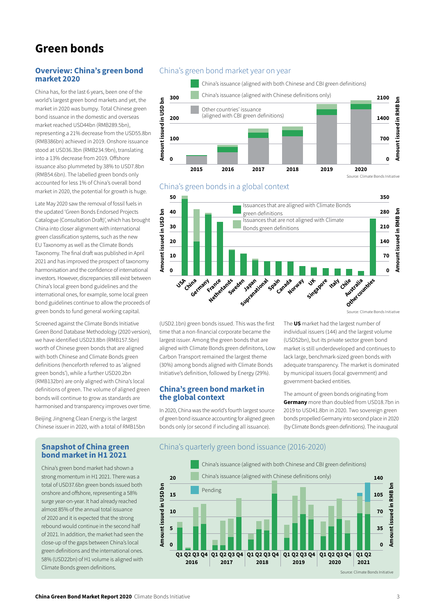# Green bonds

#### Overview: China's green bond market 2020

China has, for the last 6 years, been one of the world's largest green bond markets and yet, the market in 2020 was bumpy. Total Chinese green bond issuance in the domestic and overseas market reached USD44bn (RMB289.5bn), representing a 21% decrease from the USD55.8bn (RMB386bn) achieved in 2019. Onshore issuance stood at USD36.3bn (RMB234.9bn), translating into a 13% decrease from 2019. Offshore issuance also plummeted by 38% to USD7.8bn (RMB54.6bn). The labelled green bonds only accounted for less 1% of China's overall bond market in 2020, the potential for growth is huge.

Late May 2020 saw the removal of fossil fuels in the updated 'Green Bonds Endorsed Projects Catalogue (Consultation Draft)', which has brought China into closer alignment with international green classification systems, such as the new EU Taxonomy as well as the Climate Bonds Taxonomy. The final draft was published in April 2021 and has improved the prospect of taxonomy harmonisation and the confidence of international investors. However, discrepancies still exist between China's local green bond guidelines and the international ones, for example, some local green bond guidelines continue to allow the proceeds of green bonds to fund general working capital.

Screened against the Climate Bonds Initiative Green Bond Database Methodology (2020 version), we have identified USD23.8bn (RMB157.5bn) worth of Chinese green bonds that are aligned with both Chinese and Climate Bonds green definitions (henceforth referred to as 'aligned green bonds'), while a further USD20.2bn (RMB132bn) are only aligned with China's local definitions of green. The volume of aligned green bonds will continue to grow as standards are harmonised and transparency improves over time.

Beijing Jingneng Clean Energy is the largest Chinese issuer in 2020, with a total of RMB15bn

## China's green bond market year on year







Source: Climate Bonds Initiative

(USD2.1bn) green bonds issued. This was the first time that a non-financial corporate became the largest issuer. Among the green bonds that are aligned with Climate Bonds green definitons, Low Carbon Transport remained the largest theme (30%) among bonds aligned with Climate Bonds Initiative's definition, followed by Energy (29%).

#### China's green bond market in the global context

In 2020, China was the world's fourth largest source of green bond issuance accounting for aligned green bonds only (or second if including all issuance).

The US market had the largest number of individual issuers (144) and the largest volume (USD52bn), but its private sector green bond market is still underdeveloped and continues to lack large, benchmark-sized green bonds with adequate transparency. The market is dominated by municipal issuers (local government) and government-backed entities.

The amount of green bonds originating from **Germany** more than doubled from USD18.7bn in 2019 to USD41.8bn in 2020. Two sovereign green bonds propelled Germany into second place in 2020 (by Climate Bonds green definitions). The inaugural

#### Snapshot of China green bond market in H1 2021

China's green bond market had shown a strong momentum in H1 2021. There was a total of USD37.6bn green bonds issued both onshore and offshore, representing a 58% surge year-on-year. It had already reached almost 85% of the annual total issuance of 2020 and it is expected that the strong rebound would continue in the second half of 2021. In addition, the market had seen the close-up of the gaps between China's local green definitions and the international ones. 58% (USD22bn) of H1 volume is aligned with Climate Bonds green definitions.

#### China's quarterly green bond issuance (2016-2020)

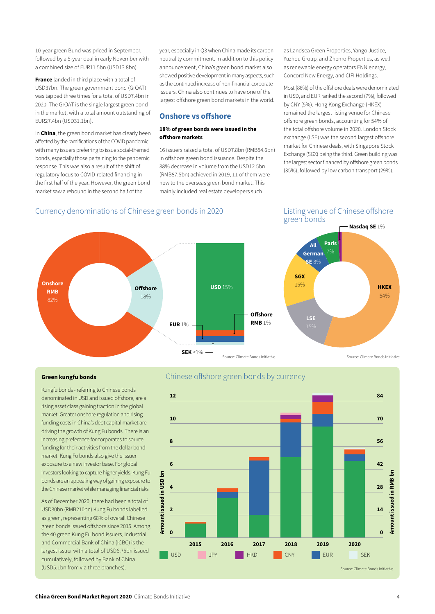10-year green Bund was priced in September, followed by a 5-year deal in early November with a combined size of EUR11.5bn (USD13.8bn).

**France** landed in third place with a total of USD37bn. The green government bond (GrOAT) was tapped three times for a total of USD7.4bn in 2020. The GrOAT is the single largest green bond in the market, with a total amount outstanding of EUR27.4bn (USD31.1bn).

In China, the green bond market has clearly been affected by the ramifications of the COVID pandemic, with many issuers preferring to issue social-themed bonds, especially those pertaining to the pandemic response. This was also a result of the shift of regulatory focus to COVID-related financing in the first half of the year. However, the green bond market saw a rebound in the second half of the

year, especially in Q3 when China made its carbon neutrality commitment. In addition to this policy announcement, China's green bond market also showed positive development in many aspects, such as the continued increase of non-financial corporate issuers. China also continues to have one of the largest offshore green bond markets in the world.

#### Onshore vs offshore

#### 18% of green bonds were issued in the offshore markets

16 issuers raised a total of USD7.8bn (RMB54.6bn) in offshore green bond issuance. Despite the 38% decrease in volume from the USD12.5bn (RMB87.5bn) achieved in 2019, 11 of them were new to the overseas green bond market. This mainly included real estate developers such

as Landsea Green Properties, Yango Justice, Yuzhou Group, and Zhenro Properties, as well as renewable energy operators ENN energy, Concord New Energy, and CIFI Holdings.

Most (86%) of the offshore deals were denominated in USD, and EUR ranked the second (7%), followed by CNY (5%). Hong Kong Exchange (HKEX) remained the largest listing venue for Chinese offshore green bonds, accounting for 54% of the total offshore volume in 2020. London Stock exchange (LSE) was the second largest offshore market for Chinese deals, with Singapore Stock Exchange (SGX) being the third. Green building was the largest sector financed by offshore green bonds (35%), followed by low carbon transport (29%).

## Currency denominations of Chinese green bonds in 2020 Listing venue of Chinese offshore

green bonds



#### Green kungfu bonds

Kungfu bonds - referring to Chinese bonds denominated in USD and issued offshore, are a rising asset class gaining traction in the global market. Greater onshore regulation and rising funding costs in China's debt capital market are driving the growth of Kung Fu bonds. There is an increasing preference for corporates to source funding for their activities from the dollar bond market. Kung Fu bonds also give the issuer exposure to a new investor base. For global investors looking to capture higher yields, Kung Fu bonds are an appealing way of gaining exposure to the Chinese market while managing financial risks.

As of December 2020, there had been a total of USD30bn (RMB210bn) Kung Fu bonds labelled as green, representing 68% of overall Chinese green bonds issued offshore since 2015. Among the 40 green Kung Fu bond issuers, Industrial and Commercial Bank of China (ICBC) is the largest issuer with a total of USD6.75bn issued cumulatively, followed by Bank of China (USD5.1bn from via three branches).

#### Chinese offshore green bonds by currency

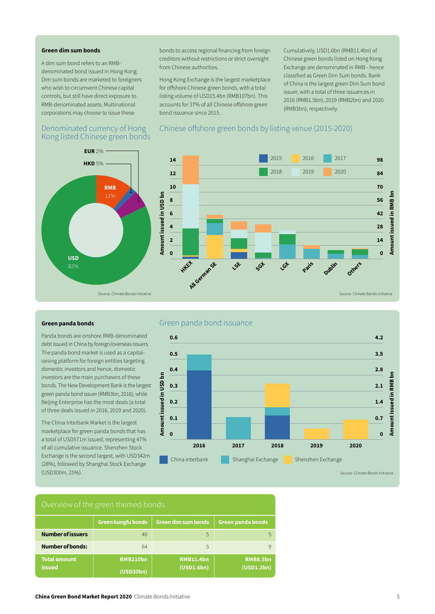#### Green dim sum bonds

A dim sum bond refers to an RMBdenominated bond issued in Hong Kong. Dim sum bonds are marketed to foreigners who wish to circumvent Chinese capital controls, but still have direct exposure to RMB-denominated assets. Multinational corporations may choose to issue these

#### Denominated currency of Hong Chinese offshore green bonds by listing venue (2015-2020) Kong listed Chinese green bonds

bonds to access regional financing from foreign creditors without restrictions or strict oversight from Chinese authorities.

Hong Kong Exchange is the largest marketplace for offshore Chinese green bonds, with a total listing volume of USD15.4bn (RMB107bn). This accounts for 37% of all Chinese offshore green bond issuance since 2015.

Cumulatively, USD1.6bn (RMB11.4bn) of Chinese green bonds listed on Hong Kong Exchange are denominated in RMB - hence classified as Green Dim Sum bonds. Bank of China is the largest green Dim Sum bond issuer, with a total of three issuances in 2016 (RMB1.5bn), 2019 (RMB2bn) and 2020 (RMB3bn), respectively.



#### Green panda bonds

Panda bonds are onshore RMB-denominated debt issued in China by foreign/overseas issuers. The panda bond market is used as a capitalraising platform for foreign entities targeting domestic investors and hence, domestic investors are the main purchasers of these bonds. The New Development Bank is the largest green panda bond issuer (RMB3bn, 2016), while Beijing Enterprise has the most deals (a total of three deals issued in 2016, 2019 and 2020).

The China Interbank Market is the largest marketplace for green panda bonds that has a total of USD571m issued, representing 47% of all cumulative issuance. Shenzhen Stock Exchange is the second largest, with USD342m (28%), followed by Shanghai Stock Exchange (USD300m, 25%).

## Green panda bond issuance



#### Number of issuers Number of bonds: Total amount issued Green panda bonds 5 9 RMB8.5bn (USD1.2bn) Green kungfu bonds 40 64 RMB210bn (USD30bn) Green dim sum bonds 5 5 RMB11.4bn (USD1.6bn)

#### **China Green Bond Market Report 2020** Climate Bonds Initiative **5 and Struck Report 3020** Climate Bonds Initiative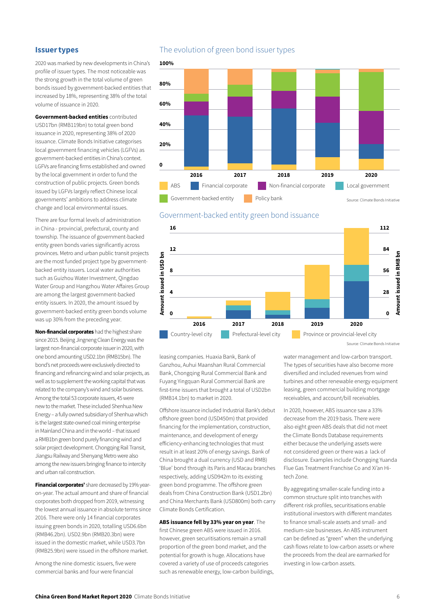#### Issuer types

2020 was marked by new developments in China's profile of issuer types. The most noticeable was the strong growth in the total volume of green bonds issued by government-backed entities that increased by 18%, representing 38% of the total volume of issuance in 2020.

Government-backed entities contributed USD17bn (RMB119bn) to total green bond issuance in 2020, representing 38% of 2020 issuance. Climate Bonds Initiative categorises local government financing vehicles (LGFVs) as government-backed entities in China's context. LGFVs are financing firms established and owned by the local government in order to fund the construction of public projects. Green bonds issued by LGFVs largely reflect Chinese local governments' ambitions to address climate change and local environmental issues.

There are four formal levels of administration in China - provincial, prefectural, county and township. The issuance of government-backed entity green bonds varies significantly across provinces. Metro and urban public transit projects are the most funded project type by governmentbacked entity issuers. Local water authorities such as Guizhou Water Investment, Qingdao Water Group and Hangzhou Water Affaires Group are among the largest government-backed entity issuers. In 2020, the amount issued by government-backed entity green bonds volume was up 30% from the preceding year.

Non-financial corporates had the highest share since 2015. Beijing Jingneng Clean Energy was the largest non-financial corporate issuer in 2020, with one bond amounting USD2.1bn (RMB15bn). The bond's net proceeds were exclusively directed to financing and refinancing wind and solar projects, as well as to supplement the working capital that was related to the company's wind and solar business. Among the total 53 corporate issuers, 45 were new to the market. These included Shenhua New Energy – a fully owned subsidiary of Shenhua which is the largest state-owned coal mining enterprise inMainland China and in the world – that issued a RMB1bn green bond purely financing wind and solar project development. Chongqing Rail Transit, Jiangsu Railway and Shenyang Metro were also among the new issuers bringing finance to intercity and urban rail construction.

**Financial corporates'** share decreased by 19% yearon-year. The actual amount and share of financial corporates both dropped from 2019, witnessing the lowest annual issuance in absolute terms since 2016. There were only 14 financial corporates issuing green bonds in 2020, totalling USD6.6bn (RMB46.2bn). USD2.9bn (RMB20.3bn) were issued in the domestic market, while USD3.7bn (RMB25.9bn) were issued in the offshore market.

Among the nine domestic issuers, five were commercial banks and four were financial

#### The evolution of green bond issuer types





Government-backed entity green bond issuance

leasing companies. Huaxia Bank, Bank of Ganzhou, Auhui Maanshan Rural Commercial Bank, Chongqing Rural Commercial Bank and Fuyang Yingquan Rural Commercial Bank are first-time issuers that brought a total of USD2bn (RMB14.1bn) to market in 2020.

Offshore issuance included Industrial Bank's debut offshore green bond (USD450m) that provided financing for the implementation, construction, maintenance, and development of energy efficiency-enhancing technologies that must result in at least 20% of energy savings. Bank of China brought a dual currency (USD and RMB) 'Blue' bond through its Paris and Macau branches respectively, adding USD942m to its existing green bond programme. The offshore green deals from China Construction Bank (USD1.2bn) and China Merchants Bank (USD800m) both carry Climate Bonds Certification.

ABS issuance fell by 33% year on year. The first Chinese green ABS were issued in 2016. however, green securitisations remain a small proportion of the green bond market, and the potential for growth is huge. Allocations have covered a variety of use of proceeds categories such as renewable energy, low-carbon buildings, water management and low-carbon transport. The types of securities have also become more diversified and included revenues from wind turbines and other renewable energy equipment leasing, green commercial building mortgage receivables, and account/bill receivables.

In 2020, however, ABS issuance saw a 33% decrease from the 2019 basis. There were also eight green ABS deals that did not meet the Climate Bonds Database requirements either because the underlying assets were not considered green or there was a lack of disclosure. Examples include Chongqing Yuanda Flue Gas Treatment Franchise Co and Xi'an Hitech Zone.

By aggregating smaller-scale funding into a common structure split into tranches with different risk profiles, securitisations enable institutional investors with different mandates to finance small-scale assets and small- and medium-size businesses. An ABS instrument can be defined as "green" when the underlying cash flows relate to low-carbon assets or where the proceeds from the deal are earmarked for investing in low-carbon assets.

Source: Climate Bonds Initiative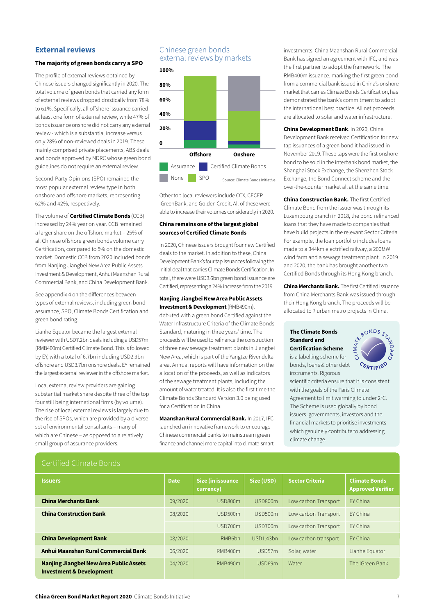#### External reviews

#### The majority of green bonds carry a SPO

The profile of external reviews obtained by Chinese issuers changed significantly in 2020. The total volume of green bonds that carried any form of external reviews dropped drastically from 78% to 61%. Specifically, all offshore issuance carried at least one form of external review, while 47% of bonds issuance onshore did not carry any external review - which is a substantial increase versus only 28% of non-reviewed deals in 2019. These mainly comprised private placements, ABS deals and bonds approved by NDRC whose green bond guidelines do not require an external review.

Second-Party Opinions (SPO) remained the most popular external review type in both onshore and offshore markets, representing 62% and 42%, respectively.

The volume of **Certified Climate Bonds** (CCB) increased by 24% year on year. CCB remained a larger share on the offshore market – 25% of all Chinese offshore green bonds volume carry Certification, compared to 5% on the domestic market. Domestic CCB from 2020 included bonds from Nanjing Jiangbei New Area Public Assets Investment & Development, Anhui Maanshan Rural Commercial Bank, and China Development Bank.

See appendix 4 on the differences between types of external reviews, including green bond assurance, SPO, Climate Bonds Certification and green bond rating.

Lianhe Equator became the largest external reviewer with USD7.2bn deals including a USD57m (RMB400m) Certified Climate Bond. This is followed by EY, with a total of 6.7bn including USD2.9bn offshore and USD3.7bn onshore deals. EY remained the largest external reviewer in the offshore market.

Local external review providers are gaining substantial market share despite three of the top four still being international firms (by volume). The rise of local external reviews is largely due to the rise of SPOs, which are provided by a diverse set of environmental consultants – many of which are Chinese – as opposed to a relatively small group of assurance providers.

## Chinese green bonds external reviews by markets



Other top local reviewers include CCX, CECEP, iGreenBank, and Golden Credit. All of these were able to increase their volumes considerably in 2020.

#### China remains one of the largest global sources of Certified Climate Bonds

In 2020, Chinese issuers brought four new Certified deals to the market. In addition to these, China Development Bank's four tap issuances following the initial deal that carries Climate Bonds Certification. In total, there were USD3.6bn green bond issuance are Certified, representing a 24% increase from the 2019.

#### Nanjing Jiangbei New Area Public Assets Investment & Development (RMB490m),

debuted with a green bond Certified against the Water Infrastructure Criteria of the Climate Bonds Standard, maturing in three years' time. The proceeds will be used to refinance the construction of three new sewage treatment plants in Jiangbei New Area, which is part of the Yangtze River delta area. Annual reports will have information on the allocation of the proceeds, as well as indicators of the sewage treatment plants, including the amount of water treated. It is also the first time the Climate Bonds [Standard Version 3](https://www.climatebonds.net/climate-bonds-standard-v3).0 being used for a Certification in China.

Maanshan Rural Commercial Bank. In 2017, IFC launched an innovative framework to encourage Chinese commercial banks to mainstream green finance and channel more capital into climate-smart investments. China Maanshan Rural Commercial Bank has signed an agreement with IFC, and was the first partner to adopt the framework. The RMB400m issuance, marking the first green bond from a commercial bank issued in China's onshore market that carries Climate Bonds Certification, has demonstrated the bank's commitment to adopt the international best practice. All net proceeds are allocated to solar and water infrastructure.

China Development Bank. In 2020, China Development Bank received Certification for new tap issuances of a green bond it had issued in November 2019. These taps were the first onshore bond to be sold in the interbank bond market, the Shanghai Stock Exchange, the Shenzhen Stock Exchange, the Bond Connect scheme and the over-the-counter market all at the same time.

China Construction Bank. The first Certified Climate Bond from the issuer was through its Luxembourg branch in 2018, the bond refinanced loans that they have made to companies that have build projects in the relevant Sector Criteria. For example, the loan portfolio includes loans made to a 344km electrified railway, a 200MW wind farm and a sewage treatment plant. In 2019 and 2020, the bank has brought another two Certified Bonds through its Hong Kong branch.

China Merchants Bank. The first Certified issuance from China Merchants Bank was issued through their Hong Kong branch. The proceeds will be allocated to 7 urban metro projects in China.

#### The [Climate Bonds](https://www.climatebonds.net/files/files/Climate%20Bonds%20Certification%20Standard%20Scheme.pdf)  [Standard and](https://www.climatebonds.net/files/files/Climate%20Bonds%20Certification%20Standard%20Scheme.pdf)  [Certification Scheme](https://www.climatebonds.net/files/files/Climate%20Bonds%20Certification%20Standard%20Scheme.pdf)

is a labelling scheme for bonds, loans & other debt instruments. Rigorous



scientific criteria ensure that it is consistent with the goals of the Paris Climate Agreement to limit warming to under 2°C. The Scheme is used globally by bond issuers, governments, investors and the financial markets to prioritise investments which genuinely contribute to addressing climate change.

#### Certified Climate Bonds

| <b>Issuers</b>                                                                 | <b>Date</b> | Size (in issuance<br>currency) | Size (USD) | <b>Sector Criteria</b> | <b>Climate Bonds</b><br><b>Approved Verifier</b> |
|--------------------------------------------------------------------------------|-------------|--------------------------------|------------|------------------------|--------------------------------------------------|
| <b>China Merchants Bank</b>                                                    | 09/2020     | USD800m                        | USD800m    | Low carbon Transport   | FY China                                         |
| <b>China Construction Bank</b>                                                 | 08/2020     | USD500m                        | USD500m    | Low carbon Transport   | FY China                                         |
|                                                                                |             | USD700m                        | USD700m    | Low carbon Transport   | FY China                                         |
| <b>China Development Bank</b>                                                  | 08/2020     | RMB <sub>6</sub> bn            | USD1.43bn  | Low carbon transport   | FY China                                         |
| Anhui Maanshan Rural Commercial Bank                                           | 06/2020     | RMB400m                        | USD57m     | Solar, water           | Lianhe Equator                                   |
| Nanjing Jiangbei New Area Public Assets<br><b>Investment &amp; Development</b> | 04/2020     | RMB490m                        | USD69m     | Water                  | The iGreen Bank                                  |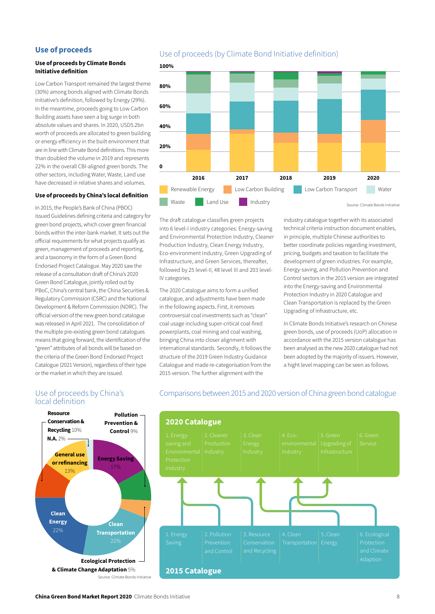#### Use of proceeds

#### Use of proceeds by Climate Bonds Initiative definition

Low Carbon Transport remained the largest theme (30%) among bonds aligned with Climate Bonds Initiative's definition, followed by Energy (29%). In the meantime, proceeds going to Low Carbon Building assets have seen a big surge in both absolute values and shares. In 2020, USD5.2bn worth of proceeds are allocated to green building or energy efficiency in the built environment that are in line with Climate Bond definitions. This more than doubled the volume in 2019 and represents 22% in the overall CBI-aligned green bonds. The other sectors, including Water, Waste, Land use have decreased in relative shares and volumes.

#### Use of proceeds by China's local definition

In 2015, the People's Bank of China (PBOC) issued [Guidelines](http://www.greenfinance.org.cn/displaynews.php?cid=79&id=468) defining criteria and category for green bond projects, which cover green financial bonds within the inter-bank market. It sets out the official requirements for what projects qualify as green, management of proceeds and reporting, and a taxonomy in the form of a Green Bond Endorsed Project Catalogue. May 2020 saw the release of a consultation draft of China's [2020](http://www.pbc.gov.cn/tiaofasi/144941/144979/3941920/4029578/index.html)  [Green Bond Catalogue](http://www.pbc.gov.cn/tiaofasi/144941/144979/3941920/4029578/index.html), jointly rolled out by PBoC, China's central bank, the China Securities & Regulatory Commission (CSRC) and the National Development & Reform Commission (NDRC). The official version of the new green bond catalogue was released in April 2021. The consolidation of the multiple pre-existing green bond catalogues means that going forward, the identification of the "green" attributes of all bonds will be based on the criteria of the Green Bond Endorsed Project Catalogue (2021 Version), regardless of their type or the market in which they are issued.

Use of proceeds by China's

local definition

## Use of proceeds (by Climate Bond Initiative definition)





The draft catalogue classifies green projects into 6 level-I industry categories: Energy-saving and Environmental Protection Industry, Cleaner Production Industry, Clean Energy Industry, Eco-environment Industry, Green Upgrading of Infrastructure, and Green Services, thereafter, followed by 25 level-II, 48 level III and 203 level-IV categories.

The 2020 Catalogue aims to form a unified catalogue, and adjustments have been made in the following aspects. First, it removes controversial coal investments such as "clean" coal usage including super-critical coal-fired powerplants, coal mining and coal washing, bringing China into closer alignment with international standards. Secondly, it follows the structure of the 2019 Green Industry Guidance Catalogue and made re-categorisation from the 2015 version. The further alignment with the

industry catalogue together with its associated technical criteria instruction document enables, in principle, multiple Chinese authorities to better coordinate policies regarding investment, pricing, budgets and taxation to facilitate the development of green industries. For example, Energy-saving, and Pollution Prevention and Control sectors in the 2015 version are integrated into the Energy-saving and Environmental Protection Industry in 2020 Catalogue and Clean Transportation is replaced by the Green Upgrading of Infrastructure, etc.

In Climate Bonds Initiative's research on Chinese green bonds, use of proceeds (UoP) allocation in accordance with the 2015 version catalogue has been analysed as the new 2020 catalogue had not been adopted by the majority of issuers. However, a hight level mapping can be seen as follows.



#### Comparisons between 2015 and 2020 version of China green bond catalogue

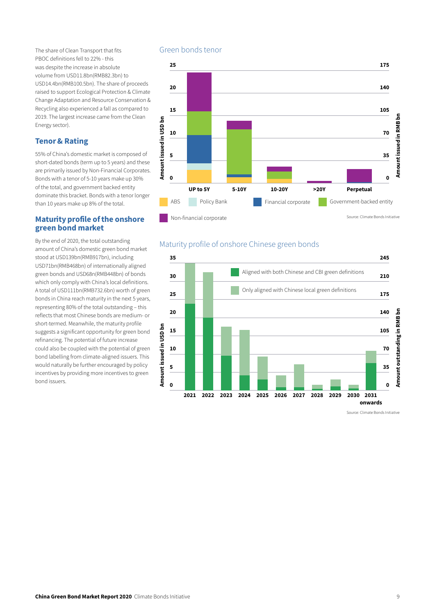The share of Clean Transport that fits PBOC definitions fell to 22% - this was despite the increase in absolute volume from USD11.8bn(RMB82.3bn) to USD14.4bn(RMB100.5bn). The share of proceeds raised to support Ecological Protection & Climate Change Adaptation and Resource Conservation & Recycling also experienced a fall as compared to 2019. The largest increase came from the Clean Energy sector).

#### Tenor & Rating

55% of China's domestic market is composed of short-dated bonds (term up to 5 years) and these are primarily issued by Non-Financial Corporates. Bonds with a tenor of 5-10 years make up 30% of the total, and government backed entity dominate this bracket. Bonds with a tenor longer than 10 years make up 8% of the total.

#### Maturity profile of the onshore green bond market

By the end of 2020, the total outstanding amount of China's domestic green bond market stood at USD139bn(RMB917bn), including USD71bn(RMB468bn) of internationally aligned green bonds and USD68n(RMB448bn) of bonds which only comply with China's local definitions. A total of USD111bn(RMB732.6bn) worth of green bonds in China reach maturity in the next 5 years, representing 80% of the total outstanding – this reflects that most Chinese bonds are medium- or short-termed. Meanwhile, the maturity profile suggests a significant opportunity for green bond refinancing. The potential of future increase could also be coupled with the potential of green bond labelling from climate-aligned issuers. This would naturally be further encouraged by policy incentives by providing more incentives to green bond issuers.

## Green bonds tenor



## Maturity profile of onshore Chinese green bonds



Source: Climate Bonds Initiative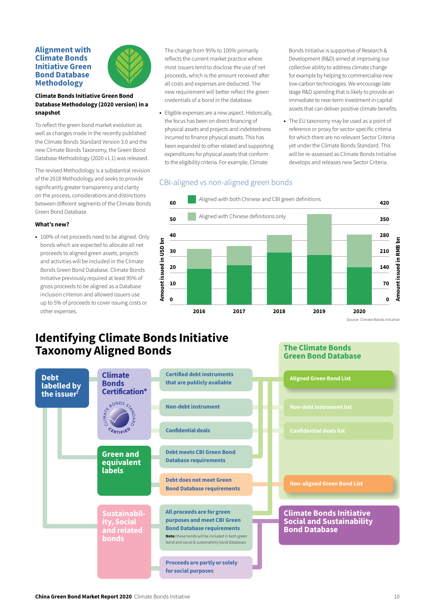#### Alignment with Climate Bonds Initiative Green Bond Database Methodology



#### Climate Bonds Initiative Green Bond Database Methodology (2020 version) in a snapshot

To reflect the green bond market evolution as well as changes made in the recently published the [Climate Bonds Standard Version 3.0](https://www.climatebonds.net/climate-bonds-standard-v3) and the new [Climate Bonds Taxonomy](https://www.climatebonds.net/standard/taxonomy), the Green Bond Database Methodology (2020 v1.1) was released.

The revised Methodology is a substantial revision of the 2018 Methodology and seeks to provide significantly greater transparency and clarity on the process, considerations and distinctions between different segments of the Climate Bonds Green Bond Database.

#### What's new?

• 100% of net proceeds need to be aligned. Only bonds which are expected to allocate all net proceeds to aligned green assets, projects and activities will be included in the Climate Bonds Green Bond Database. Climate Bonds Initiative previously required at least 95% of gross proceeds to be aligned as a Database inclusion criterion and allowed issuers use up to 5% of proceeds to cover issuing costs or other expenses. • 100% of net proceeds need to be aligned. Only<br>bonds which are expected to allocate all net<br>proceeds to aligned green assets, projects<br>and activities will be included in the Climate<br>Bonds Green Bond Database. Climate Bond

The change from 95% to 100% primarily reflects the current market practice where most issuers tend to disclose the use of net proceeds, which is the amount received after all costs and expenses are deducted. The new requirement will better reflect the green credentials of a bond in the database.

• Eligible expenses are a new aspect. Historically, the focus has been on direct financing of physical assets and projects and indebtedness incurred to finance physical assets. This has been expanded to other related and supporting expenditures for physical assets that conform to the eligibility criteria. For example, Climate

Bonds Initiative is supportive of Research & Development (R&D) aimed at improving our collective ability to address climate change for example by helping to commercialise new low-carbon technologies. We encourage late stage R&D spending that is likely to provide an immediate to near-term investment in capital assets that can deliver positive climate benefits.

• The EU taxonomy may be used as a point of reference or proxy for sector-specific criteria for which there are no relevant Sector Criteria yet under the Climate Bonds Standard. This will be re-assessed as Climate Bonds Initiative develops and releases new Sector Criteria.

## CBI-aligned vs non-aligned green bonds



The Climate Bonds Green Bond Database

# Identifying Climate Bonds Initiative

| <b>Debt</b><br>labelled by<br>the issuer <sup>†</sup> | <b>Climate</b><br><b>Bonds</b><br><b>Certification*</b>              | <b>Certified debt instruments</b><br>that are publicly available                                                                                                                                      | <b>Aligned Green Bond List</b>                                                              |
|-------------------------------------------------------|----------------------------------------------------------------------|-------------------------------------------------------------------------------------------------------------------------------------------------------------------------------------------------------|---------------------------------------------------------------------------------------------|
| CUNATIONS ST<br>CERTIFIED                             | <b>Non-debt instrument</b>                                           | <b>Non-debt instrument list</b>                                                                                                                                                                       |                                                                                             |
|                                                       | <b>Confidential deals</b>                                            | <b>Confidential deals list</b>                                                                                                                                                                        |                                                                                             |
| <b>Green and</b><br>equivalent<br><b>labels</b>       | <b>Debt meets CBI Green Bond</b><br><b>Database requirements</b>     |                                                                                                                                                                                                       |                                                                                             |
|                                                       | <b>Debt does not meet Green</b><br><b>Bond Database requirements</b> | <b>Non-aligned Green Bond List</b>                                                                                                                                                                    |                                                                                             |
|                                                       | Sustainabil-<br>ity, Social<br>and related<br><b>bonds</b>           | All proceeds are for green<br>purposes and meet CBI Green<br><b>Bond Database requirements</b><br>Note: these bonds will be included in both green<br>bond and social & sustainability bond databases | <b>Climate Bonds Initiative</b><br><b>Social and Sustainability</b><br><b>Bond Database</b> |
|                                                       |                                                                      | <b>Proceeds are partly or solely</b><br>for social purposes                                                                                                                                           |                                                                                             |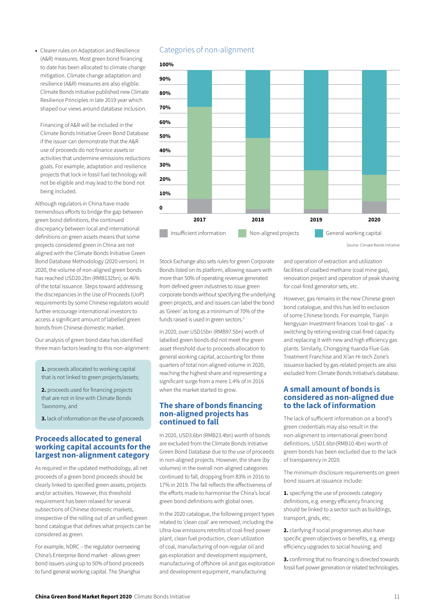• Clearer rules on Adaptation and Resilience (A&R) measures. Most green bond financing to date has been allocated to climate change mitigation. Climate change adaptation and resilience (A&R) measures are also eligible. Climate Bonds Initiative published new Climate Resilience Principles [in late 2019](https://www.climatebonds.net/resources/press-releases/2019/09/climate-bonds-releases-new-climate-resilience-principles-framework) year which shaped our views around database inclusion.

Financing of A&R will be included in the Climate Bonds Initiative Green Bond Database if the issuer can demonstrate that the A&R use of proceeds do not finance assets or activities that undermine emissions reductions goals. For example, adaptation and resilience projects that lock in fossil fuel technology will not be eligible and may lead to the bond not being included.

Although regulators in China have made tremendous efforts to bridge the gap between green bond definitions, the continued discrepancy between local and international definitions on green assets means that some projects considered green in China are not aligned with the Climate Bonds Initiative Green Bond Database Methodology (2020 version). In 2020, the volume of non-aligned green bonds has reached USD20.2bn (RMB132bn), or 46% of the total issuance. Steps toward addressing the discrepancies in the Use of Proceeds (UoP) requirements by some Chinese regulators would further encourage international investors to access a significant amount of labelled green bonds from Chinese domestic market.

Our analysis of green bond data has identified three main factors leading to this non-alignment:

1. proceeds allocated to working capital that is not linked to green projects/assets;

2. proceeds used for financing projects that are not in line with Climate Bonds Taxonomy, and

3. lack of information on the use of proceeds

#### Proceeds allocated to general working capital accounts for the largest non-alignment category

As required in the updated methodology, all net proceeds of a green bond proceeds should be clearly linked to specified green assets, projects and/or activities. However, this threshold requirement has been relaxed for several subsections of Chinese domestic markets, irrespective of the rolling out of an unified green bond catalogue that defines what projects can be considered as green.

For example, NDRC – the regulator overseeing China's Enterprise Bond market - allows green bond issuers using up to 50% of bond proceeds to fund general working capital. The Shanghai

## Categories of non-alignment



Source: Climate Bonds Initiative

#### Stock Exchange also sets rules for green Corporate Bonds listed on its platform, allowing issuers with more than 50% of operating revenue generated from defined green industries to issue green corporate bonds without specifying the underlying green projects, and and issuers can label the bond as 'Green' as long as a minimum of 70% of the funds raised is used in green sectors.<sup>2</sup>

In 2020, over USD15bn (RMB97.5bn) worth of labelled green bonds did not meet the green asset threshold due to proceeds allocation to general working capital, accounting for three quarters of total non-aligned volume in 2020, reaching the highest share and representing a significant surge from a mere 1.4% of in 2016 when the market started to grow.

#### The share of bonds financing non-aligned projects has continued to fall

In 2020, USD3.6bn (RMB23.4bn) worth of bonds are excluded from the Climate Bonds Initiative Green Bond Database due to the use of proceeds in non-aligned projects. However, the share (by volumes) in the overall non-aligned categories continued to fall, dropping from 83% in 2016 to 17% in 2019. The fall reflects the effectiveness of the efforts made to harmonise the China's local green bond definitions with global ones.

In the 2020 catalogue, the following project types related to 'clean coal' are removed, including the Ultra-low emissions retrofits of coal-fired power plant, clean fuel production, clean utilization of coal, manufacturing of non-regular oil and gas exploration and development equipment, manufacturing of offshore oil and gas exploration and development equipment, manufacturing

and operation of extraction and utilization facilities of coalbed methane (coal mine gas), renovation project and operation of peak shaving for coal-fired generator sets, etc.

However, gas remains in the new Chinese green bond catalogue, and this has led to exclusion of some Chinese bonds. For example, Tianjin Nengyuan Investment finances 'coal-to-gas' - a switching by retiring existing coal-fired capacity and replacing it with new and high efficiency gas plants. Similarly, Chongqing Yuanda Flue Gas Treatment Franchise and Xi'an Hi-tech Zone's issuance backed by gas-related projects are also excluded from Climate Bonds Initiative's database.

#### A small amount of bonds is considered as non-aligned due to the lack of information

The lack of sufficient information on a bond's green credentials may also result in the non-alignment to international green bond definitions. USD1.6bn(RMB10.4bn) worth of green bonds has been excluded due to the lack of transparency in 2020.

The minimum disclosure requirements on green bond issuers at issuance include:

1. specifying the use of proceeds category definitions, e.g. energy efficiency financing should be linked to a sector such as buildings, transport, grids, etc;

2. clarifying if social programmes also have specific green objectives or benefits, e.g. energy efficiency upgrades to social housing; and

3. confirming that no financing is directed towards fossil fuel power generation or related technologies.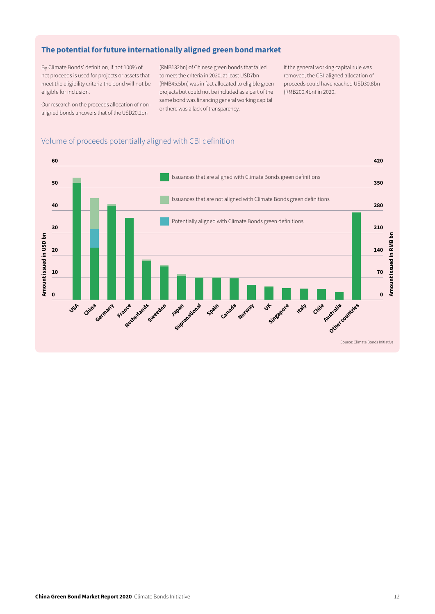## The potential for future internationally aligned green bond market

By Climate Bonds' definition, if not 100% of net proceeds is used for projects or assets that meet the eligibility criteria the bond will not be eligible for inclusion.

Our research on the proceeds allocation of nonaligned bonds uncovers that of the USD20.2bn

(RMB132bn) of Chinese green bonds that failed to meet the criteria in 2020, at least USD7bn (RMB45.5bn) was in fact allocated to eligible green projects but could not be included as a part of the same bond was financing general working capital or there was a lack of transparency.

If the general working capital rule was removed, the CBI-aligned allocation of proceeds could have reached USD30.8bn (RMB200.4bn) in 2020.

## Volume of proceeds potentially aligned with CBI definition

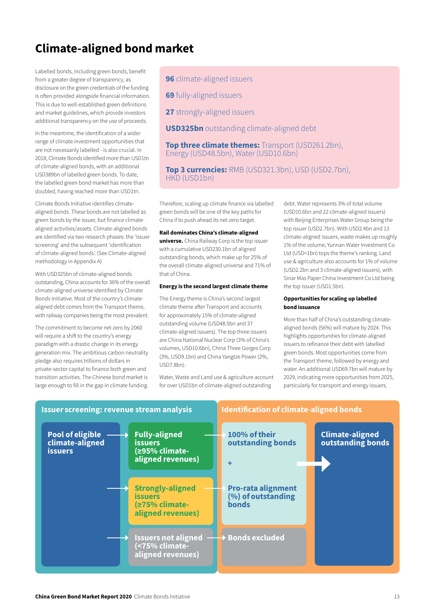# Climate-aligned bond market

Labelled bonds, including green bonds, benefit from a greater degree of transparency, as disclosure on the green credentials of the funding is often provided alongside financial information. This is due to well-established green definitions and market guidelines, which provide investors additional transparency on the use of proceeds.

In the meantime, the identification of a wider range of climate investment opportunities that are not necessarily labelled - is also crucial. In 2018, Climate Bonds identified more than USD1tn of climate-aligned bonds, with an additional USD389bn of labelled green bonds. To date, the labelled green bond market has more than doubled, having reached more than USD1tn.

Climate Bonds Initiative identifies climatealigned bonds. These bonds are not labelled as green bonds by the issuer, but finance climatealigned activities/assets. Climate-aligned bonds are identified via two research phases: the 'issuer screening' and the subsequent 'identification of climate-aligned bonds'. (See Climate-aligned methodology in Appendix A)

With USD325bn of climate-aligned bonds outstanding, China accounts for 36% of the overall climate-aligned universe identified by Climate Bonds Initiative. Most of the country's climatealigned debt comes from the Transport theme, with railway companies being the most prevalent.

The commitment to become net-zero by 2060 will require a shift to the country's energy paradigm with a drastic change in its energy generation mix. The ambitious carbon neutrality pledge also requires trillions of dollars in private-sector capital to finance both green and transition activities. The Chinese bond market is large enough to fill in the gap in climate funding. 96 climate-aligned issuers

**69** fully-aligned issuers

27 strongly-aligned issuers

**USD325bn** outstanding climate-aligned debt

**Top three climate themes:** Transport (USD261.2bn), Energy (USD48.5bn), Water (USD10.6bn)

Top 3 currencies: RMB (USD321.3bn), USD (USD2.7bn), HKD (USD1bn)

Therefore, scaling up climate finance via labelled green bonds will be one of the key paths for China if to push ahead its net-zero target.

#### Rail dominates China's climate-aligned

universe. China Railway Corp is the top issuer with a cumulative USD230.1bn of aligned outstanding bonds, which make up for 25% of the overall climate-aligned universe and 71% of that of China.

#### Energy is the second largest climate theme

The Energy theme is China's second largest climate theme after Transport and accounts for approximately 15% of climate-aligned outstanding volume (USD48.5bn and 37 climate-aligned issuers). The top three issuers are China National Nuclear Corp (3% of China's volumes, USD10.6bn), China Three Gorges Corp (3%, USD9.1bn) and China Yangtze Power (2%, USD7.8bn).

Water, Waste and Land use & agriculture account for over USD1bn of climate-aligned outstanding

debt. Water represents 3% of total volume (USD10.6bn and 22 climate-aligned issuers) with Beijing Enterprises Water Group being the top issuer (USD2.7bn). With USD2.4bn and 13 climate-aligned issuers, waste makes up roughly 1% of the volume; Yunnan Water Investment Co Ltd (USD<1bn) tops the theme's ranking. Land use & agriculture also accounts for 1% of volume (USD2.2bn and 3 climate-aligned issuers), with Sinar Mas Paper China Investment Co Ltd being the top issuer (USD1.5bn).

#### Opportunities for scaling up labelled bond issuance

More than half of China's outstanding climatealigned bonds (56%) will mature by 2024. This highlights opportunities for climate-aligned issuers to refinance their debt with labelled green bonds. Most opportunities come from the Transport theme, followed by energy and water. An additional USD69.7bn will mature by 2029, indicating more opportunities from 2025, particularly for transport and energy issuers.

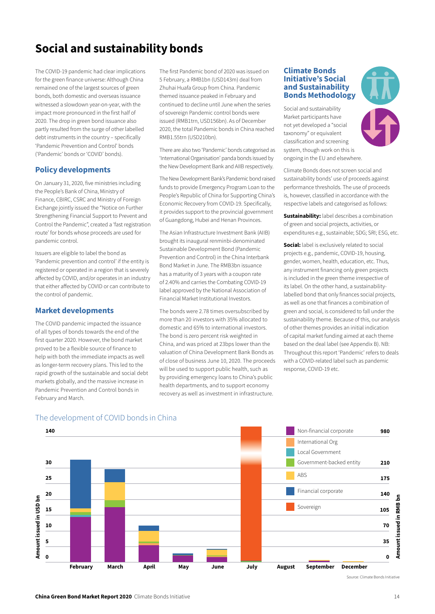# Social and sustainability bonds

The COVID-19 pandemic had clear implications for the green finance universe: Although China remained one of the largest sources of green bonds, both domestic and overseas issuance witnessed a slowdown year-on-year, with the impact more pronounced in the first half of 2020. The drop in green bond issuance also partly resulted from the surge of other labelled debt instruments in the country – specifically 'Pandemic Prevention and Control' bonds ('Pandemic' bonds or 'COVID' bonds).

#### Policy developments

On January 31, 2020, five ministries including the People's Bank of China, Ministry of Finance, CBIRC, CSRC and Ministry of Foreign Exchange jointly issued the "Notice on Further Strengthening Financial Support to Prevent and Control the Pandemic", created a 'fast registration route' for bonds whose proceeds are used for pandemic control.

Issuers are eligible to label the bond as 'Pandemic prevention and control' if the entity is registered or operated in a region that is severely affected by COVID, and/or operates in an industry that either affected by COVID or can contribute to the control of pandemic.

#### Market developments

The COVID pandemic impacted the issuance of all types of bonds towards the end of the first quarter 2020. However, the bond market proved to be a flexible source of finance to help with both the immediate impacts as well as longer-term recovery plans. This led to the rapid growth of the sustainable and social debt markets globally, and the massive increase in Pandemic Prevention and Control bonds in February and March.

The first Pandemic bond of 2020 was issued on 5 February, a RMB1bn (USD143m) deal from Zhuhai Huafa Group from China. Pandemic themed issuance peaked in February and continued to decline until June when the series of sovereign Pandemic control bonds were issued (RMB1trn, USD156bn). As of December 2020, the total Pandemic bonds in China reached RMB1.55trn (USD210bn).

There are also two 'Pandemic' bonds categorised as 'International Organisation' panda bonds issued by the New Development Bank and AIIB respectively.

The New Development Bank's Pandemic bond raised funds to provide Emergency Program Loan to the People's Republic of China for Supporting China's Economic Recovery from COVID-19. Specifically, it provides support to the provincial government of Guangdong, Hubei and Henan Provinces.

The Asian Infrastructure Investment Bank (AIIB) brought its inaugural renminbi-denominated Sustainable Development Bond (Pandemic Prevention and Control) in the China Interbank Bond Market in June. The RMB3bn issuance has a maturity of 3 years with a coupon rate of 2.40% and carries the Combating COVID-19 label approved by the National Association of Financial Market Institutional Investors.

The bonds were 2.78 times oversubscribed by more than 20 investors with 35% allocated to domestic and 65% to international investors. The bond is zero percent risk weighted in China, and was priced at 23bps lower than the valuation of China Development Bank Bonds as of close of business June 10, 2020. The proceeds will be used to support public health, such as by providing emergency loans to China's public health departments, and to support economy recovery as well as investment in infrastructure.

#### Climate Bonds Initiative's Social and Sustainability Bonds Methodology

Social and sustainability Market participants have not yet developed a "social taxonomy" or equivalent classification and screening system, though work on this is ongoing in the EU and elsewhere.

Climate Bonds does not screen social and sustainability bonds' use of proceeds against performance thresholds. The use of proceeds is, however, classified in accordance with the respective labels and categorised as follows:

**Sustainability:** label describes a combination of green and social projects, activities, or expenditures e.g., sustainable; SDG; SRI; ESG, etc.

**Social:** label is exclusively related to social projects e.g., pandemic, COVID-19, housing, gender, women, health, education, etc. Thus, any instrument financing only green projects is included in the green theme irrespective of its label. On the other hand, a sustainabilitylabelled bond that only finances social projects, as well as one that finances a combination of green and social, is considered to fall under the sustainability theme. Because of this, our analysis of other themes provides an initial indication of capital market funding aimed at each theme based on the deal label (see Appendix B). NB: Throughout this report 'Pandemic' refers to deals with a COVID-related label such as pandemic response, COVID-19 etc.



## The development of COVID bonds in China

Source: Climate Bonds Initiative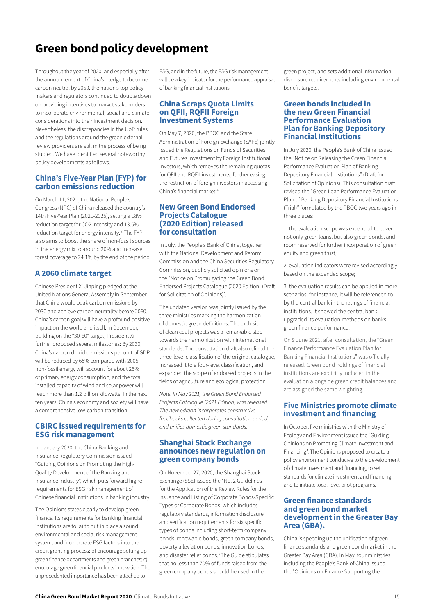# Green bond policy development

Throughout the year of 2020, and especially after the announcement of China's pledge to become carbon neutral by 2060, the nation's top policymakers and regulators continued to double down on providing incentives to market stakeholders to incorporate environmental, social and climate considerations into their investment decision. Nevertheless, the discrepancies in the UoP rules and the regulations around the green external review providers are still in the process of being studied. We have identified several noteworthy policy developments as follows.

#### China's Five-Year Plan (FYP) for carbon emissions reduction

On March 11, 2021, the National People's Congress (NPC) of China released the country's 14th Five-Year Plan (2021-2025), setting a 18% reduction target for CO2 intensity and 13.5% reduction target for energy intensity.<sup>3</sup> The FYP also aims to boost the share of non-fossil sources in the energy mix to around 20% and increase forest coverage to 24.1% by the end of the period.

## A 2060 climate target

Chinese President Xi Jinping pledged at the United Nations General Assembly in September that China would peak carbon emissions by 2030 and achieve carbon neutrality before 2060. China's carbon goal will have a profound positive impact on the world and itself. In December, building on the "30-60" target, President Xi further proposed several milestones: By 2030, China's carbon dioxide emissions per unit of GDP will be reduced by 65% compared with 2005, non-fossil energy will account for about 25% of primary energy consumption, and the total installed capacity of wind and solar power will reach more than 1.2 billion kilowatts. In the next ten years, China's economy and society will have a comprehensive low-carbon transition

#### CBIRC issued requirements for ESG risk management

In January 2020, the China Banking and Insurance Regulatory Commission issued "Guiding Opinions on Promoting the High-Quality Development of the Banking and Insurance Industry", which puts forward higher requirements for ESG risk management of Chinese financial institutions in banking industry.

The Opinions states clearly to develop green finance. Its requirements for banking financial institutions are to: a) to put in place a sound environmental and social risk management system, and incorporate ESG factors into the credit granting process; b) encourage setting up green finance departments and green branches; c) encourage green financial products innovation. The unprecedented importance has been attached to

ESG, and in the future, the ESG risk management will be a key indicator for the performance appraisal of banking financial institutions.

#### China Scraps Quota Limits on QFII, RQFII Foreign Investment Systems

On May 7, 2020, the PBOC and the State Administration of Foreign Exchange (SAFE) jointly issued the Regulations on Funds of Securities and Futures Investment by Foreign Institutional Investors, which removes the remaining quotas for QFII and RQFII investments, further easing the restriction of foreign investors in accessing China's financial market.<sup>4</sup>

#### New Green Bond Endorsed Projects Catalogue (2020 Edition) released for consultation

In July, the People's Bank of China, together with the National Development and Reform Commission and the China Securities Regulatory Commission, publicly solicited opinions on the "Notice on Promulgating the Green Bond Endorsed Projects Catalogue (2020 Edition) (Draft for Solicitation of Opinions)".

The updated version was jointly issued by the three ministries marking the harmonization of domestic green definitions. The exclusion of clean coal projects was a remarkable step towards the harmonization with international standards. The consultation draft also refined the three-level classification of the original catalogue, increased it to a four-level classification, and expanded the scope of endorsed projects in the fields of agriculture and ecological protection.

*Note: In May 2021, the Green Bond Endorsed Projects Catalogue (2021 Edition) was released. The new edition incorporates constructive feedbacks collected during consultation period, and unifies domestic green standards.* 

#### Shanghai Stock Exchange announces new regulation on green company bonds

On November 27, 2020, the Shanghai Stock Exchange (SSE) issued the "No. 2 Guidelines for the Application of the Review Rules for the Issuance and Listing of Corporate Bonds-Specific Types of Corporate Bonds, which includes regulatory standards, information disclosure and verification requirements for six specific types of bonds including short-term company bonds, renewable bonds, green company bonds, poverty alleviation bonds, innovation bonds, and disaster relief bonds.<sup>5</sup> The Guide stipulates that no less than 70% of funds raised from the green company bonds should be used in the

green project, and sets additional information disclosure requirements including environmental benefit targets.

#### Green bonds included in the new Green Financial Performance Evaluation Plan for Banking Depository Financial Institutions

In July 2020, the People's Bank of China issued the "Notice on Releasing the Green Financial Performance Evaluation Plan of Banking Depository Financial Institutions" (Draft for Solicitation of Opinions). This consultation draft revised the "Green Loan Performance Evaluation Plan of Banking Depository Financial Institutions (Trial)" formulated by the PBOC two years ago in three places:

1. the evaluation scope was expanded to cover not only green loans, but also green bonds, and room reserved for further incorporation of green equity and green trust;

2. evaluation indicators were revised accordingly based on the expanded scope;

3. the evaluation results can be applied in more scenarios, for instance, it will be referenced to by the central bank in the ratings of financial institutions. It showed the central bank upgraded its evaluation methods on banks' green finance performance.

On 9 June 2021, after consultation, the "Green Finance Performance Evaluation Plan for Banking Financial Institutions" was officially released. Green bond holdings of financial institutions are explicitly included in the evaluation alongside green credit balances and are assigned the same weighting.

#### Five Ministries promote climate investment and financing

In October, five ministries with the Ministry of Ecology and Environment issued the "Guiding Opinions on Promoting Climate Investment and Financing". The Opinions proposed to create a policy environment conducive to the development of climate investment and financing, to set standards for climate investment and financing, and to initiate local-level pilot programs.

#### Green finance standards and green bond market development in the Greater Bay Area (GBA).

China is speeding up the unification of green finance standards and green bond market in the Greater Bay Area (GBA). In May, four ministries including the People's Bank of China issued the "Opinions on Finance Supporting the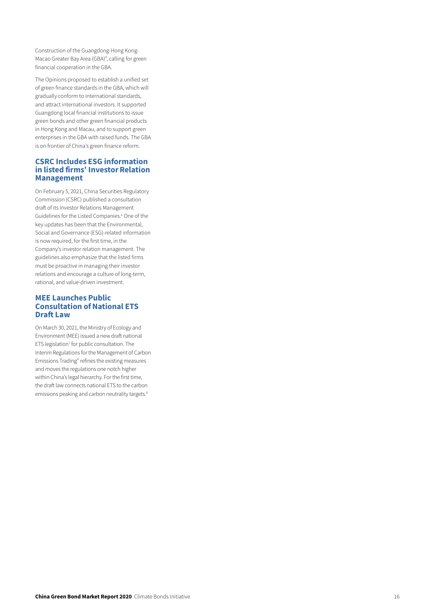Construction of the Guangdong-Hong Kong-Macao Greater Bay Area (GBA)", calling for green financial cooperation in the GBA.

The Opinions proposed to establish a unified set of green finance standards in the GBA, which will gradually conform to international standards, and attract international investors. It supported Guangdong local financial institutions to issue green bonds and other green financial products in Hong Kong and Macau, and to support green enterprises in the GBA with raised funds. The GBA is on frontier of China's green finance reform.

#### CSRC Includes ESG information in listed firms' Investor Relation Management

On February 5, 2021, China Securities Regulatory Commission (CSRC) published a consultation draft of its Investor Relations Management Guidelines for the Listed Companies. 6 One of the key updates has been that the Environmental, Social and Governance (ESG)-related information is now required, for the first time, in the Company's investor relation management. The guidelines also emphasize that the listed firms must be proactive in managing their investor relations and encourage a culture of long-term, rational, and value-driven investment.

#### MEE Launches Public Consultation of National ETS Draft Law

On March 30, 2021, the Ministry of Ecology and Environment (MEE) issued a new draft national ETS legislation<sup>7</sup> for public consultation. The [Interim Regulations for the Management of Carbon](http://www.mee.gov.cn/xxgk2018/xxgk/xxgk06/202103/W020210330371577301435.pdf)  [Emissions Trading](http://www.mee.gov.cn/xxgk2018/xxgk/xxgk06/202103/W020210330371577301435.pdf)" refines the existing measures and moves the regulations one notch higher within China's legal hierarchy. For the first time, the draft law connects national ETS to the carbon emissions peaking and carbon neutrality targets.<sup>8</sup>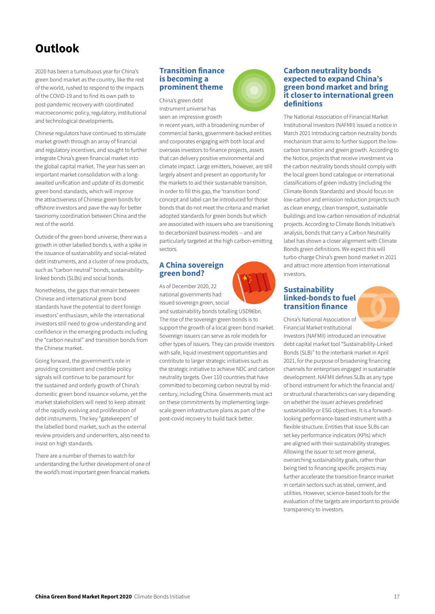# Outlook

2020 has been a tumultuous year for China's green bond market as the country, like the rest of the world, rushed to respond to the impacts of the COVID-19 and to find its own path to post-pandemic recovery with coordinated macroeconomic policy, regulatory, institutional and technological developments.

Chinese regulators have continued to stimulate market growth through an array of financial and regulatory incentives, and sought to further integrate China's green financial market into the global capital market. The year has seen an important market consolidation with a longawaited unification and update of its domestic green bond standards, which will improve the attractiveness of Chinese green bonds for offshore investors and pave the way for better taxonomy coordination between China and the rest of the world.

Outside of the green bond universe, there was a growth in other labelled bonds s, with a spike in the issuance of sustainability and social-related debt instruments, and a cluster of new products, such as "carbon neutral" bonds, sustainabilitylinked bonds (SLBs) and social bonds.

Nonetheless, the gaps that remain between Chinese and international green bond standards have the potential to dent foreign investors' enthusiasm, while the international investors still need to grow understanding and confidence in the emerging products including the "carbon neutral" and transition bonds from the Chinese market.

Going forward, the government's role in providing consistent and credible policy signals will continue to be paramount for the sustained and orderly growth of China's domestic green bond issuance volume, yet the market stakeholders will need to keep abreast of the rapidly evolving and proliferation of debt instruments. The key "gatekeepers" of the labelled bond market, such as the external review providers and underwriters, also need to insist on high standards.

There are a number of themes to watch for understanding the further development of one of the world's most important green financial markets.

#### Transition finance is becoming a prominent theme

China's green debt instrument universe has seen an impressive growth

in recent years, with a broadening number of commercial banks, government-backed entities and corporates engaging with both local and overseas investors to finance projects, assets that can delivery positive environmental and climate impact. Large emitters, however, are still largely absent and present an opportunity for the markets to aid their sustainable transition. In order to fill this gap, the 'transition bond' concept and label can be introduced for those bonds that do not meet the criteria and market adopted standards for green bonds but which are associated with issuers who are transitioning to decarbonized business models -- and are particularly targeted at the high carbon-emitting sectors.

#### A China sovereign green bond?

As of December 2020, 22 national governments had issued sovereign green, social

and sustainability bonds totalling USD96bn. The rise of the sovereign green bonds is to support the growth of a local green bond market. Sovereign issuers can serve as role models for other types of issuers. They can provide investors with safe, liquid investment opportunities and contribute to larger strategic initiatives such as the strategic initiative to achieve NDC and carbon neutrality targets. Over 110 countries that have committed to becoming carbon neutral by midcentury, including China. Governments must act on these commitments by implementing largescale green infrastructure plans as part of the post-covid recovery to build back better.



#### Carbon neutrality bonds expected to expand China's green bond market and bring it closer to international green definitions

The National Association of Financial Market Institutional Investors (NAFMII) issued a notice in March 2021 introducing carbon neutrality bonds mechanism that aims to further support the lowcarbon transition and green growth. According to the Notice, projects that receive investment via the carbon neutrality bonds should comply with the local green bond catalogue or international classifications of green industry (including the Climate Bonds Standards) and should focus on low-carbon and emission reduction projects such as clean energy, clean transport, sustainable buildings and low-carbon renovation of industrial projects. According to Climate Bonds Initiative's analysis, bonds that carry a Carbon Neutrality label has shown a closer alignment with Climate Bonds green definitions. We expect this will turbo-charge China's green bond market in 2021 and attract more attention from international investors.

#### Sustainability linked-bonds to fuel transition finance

China's National Association of Financial Market Institutional Investors (NAFMII) introduced an innovative debt capital market tool "Sustainability-Linked Bonds (SLB)" to the interbank market in April 2021, for the purpose of broadening financing channels for enterprises engaged in sustainable development. NAFMII defines SLBs as any type of bond instrument for which the financial and/ or structural characteristics can vary depending on whether the issuer achieves predefined sustainability or ESG objectives. It is a forwardlooking performance-based instrument with a flexible structure. Entities that issue SLBs can set key performance indicators (KPIs) which are aligned with their sustainability strategies. Allowing the issuer to set more general, overarching sustainability goals, rather than being tied to financing specific projects may further accelerate the transition finance market in certain sectors such as steel, cement, and utilities. However, science-based tools for the evaluation of the targets are important to provide transparency to investors.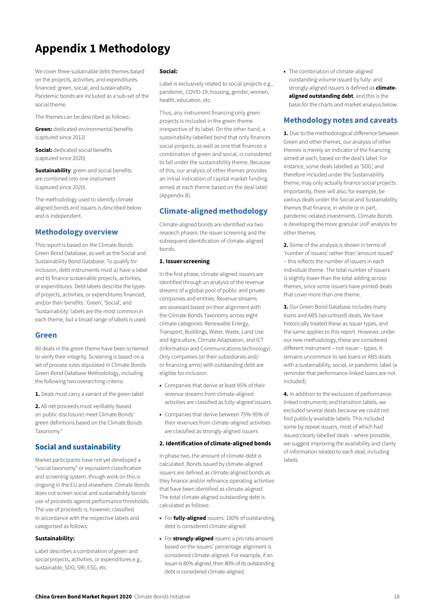# Appendix 1 Methodology

We cover three sustainable debt themes based on the projects, activities, and expenditures financed: green, social, and sustainability. Pandemic bonds are included as a sub-set of the social theme.

The themes can be described as follows:

**Green:** dedicated environmental benefits (captured since 2012)

**Social:** dedicated social benefits (captured since 2020)

Sustainability: green and social benefits are combined into one instrument (captured since 2020).

The methodology used to identify climate aligned bonds and issuers is described below and is independent.

## Methodology overview

This report is based on the Climate Bonds Green Bond Database, as well as the Social and Sustainability Bond Database. To qualify for inclusion, debt instruments must a) have a label and b) finance sustainable projects, activities, or expenditures. Debt labels describe the types of projects, activities, or expenditures financed, and/or their benefits. 'Green', 'Social', and 'Sustainability' labels are the most common in each theme, but a broad range of labels is used.

#### Green

All deals in the green theme have been screened to verify their integrity. Screening is based on a set of process rules stipulated in Climate Bonds Green Bond Database Methodology, including the following two overarching criteria:

1. Deals must carry a variant of the green label

2. All net proceeds must verifiably (based on public disclosure) meet Climate Bonds' green definitions based on the Climate Bonds Taxonomy.9

## Social and sustainability

Market participants have not yet developed a "social taxonomy" or equivalent classification and screening system, though work on this is ongoing in the EU and elsewhere. Climate Bonds does not screen social and sustainability bonds' use of proceeds against performance thresholds. The use of proceeds is, however, classified in accordance with the respective labels and categorised as follows:

#### Sustainability:

Label describes a combination of green and social projects, activities, or expenditures e.g., sustainable; SDG; SRI; ESG, etc.

#### Social:

Label is exclusively related to social projects e.g., pandemic, COVID-19, housing, gender, women, health, education, etc.

Thus, any instrument financing only green projects is included in the green theme irrespective of its label. On the other hand, a sustainability-labelled bond that only finances social projects, as well as one that finances a combination of green and social, is considered to fall under the sustainability theme. Because of this, our analysis of other themes provides an initial indication of capital market funding aimed at each theme based on the deal label (Appendix B).

## Climate-aligned methodology

Climate-aligned bonds are identified via two research phases: the issuer screening and the subsequent identification of climate-aligned bonds.

#### 1. Issuer screening

In the first phase, climate-aligned issuers are identified through an analysis of the revenue streams of a global pool of public and private companies and entities. Revenue streams are assessed based on their alignment with the Climate Bonds Taxonomy across eight climate categories: Renewable Energy, Transport, Buildings, Water, Waste, Land Use and Agriculture, Climate Adaptation, and ICT (Information and Communications technology). Only companies (or their subsidiaries and/ or financing arms) with outstanding debt are eligible for inclusion.

- Companies that derive at least 95% of their revenue streams from climate-aligned activities are classified as fully-aligned issuers
- Companies that derive between 75%-95% of their revenues from climate-aligned activities are classified as strongly-aligned issuers

#### 2. Identification of climate-aligned bonds

In phase two, the amount of climate-debt is calculated. Bonds issued by climate-aligned issuers are defined as climate-aligned bonds as they finance and/or refinance operating activities that have been identified as climate-aligned. The total climate-aligned outstanding debt is calculated as follows:

- For **fully-aligned** issuers: 100% of outstanding debt is considered climate-aligned
- For **strongly-aligned** issuers: a pro-rata amount based on the issuers' percentage alignment is considered climate-aligned. For example, if an issuer is 80% aligned, then 80% of its outstanding debt is considered climate-aligned.

• The combination of climate-aligned outstanding volume issued by fully- and strongly-aligned issuers is defined as **climate**aligned outstanding debt, and this is the basis for the charts and market analysis below.

## Methodology notes and caveats

1. Due to the methodological difference between Green and other themes, our analysis of other themes is merely an indicator of the financing aimed at each, based on the deal's label. For instance, some deals labelled as 'SDG', and therefore included under the Sustainability theme, may only actually finance social projects. Importantly, there will also, for example, be various deals under the Social and Sustainability themes that finance, in whole or in part, pandemic-related investments. Climate Bonds is developing the more granular UoP analysis for other themes.

2. Some of the analysis is shown in terms of 'number of issuers' rather than 'amount issued' – this reflects the number of issuers in each individual theme. The total number of issuers is slightly lower than the total adding across themes, since some issuers have printed deals that cover more than one theme.

3. Our Green Bond Database includes many loans and ABS (securitised) deals. We have historically treated these as issuer types, and the same applies to this report. However, under our new methodology, these are considered different instrument – not issuer – types. It remains uncommon to see loans or ABS deals with a sustainability, social, or pandemic label (a reminder that performance-linked loans are not included).

4. In addition to the exclusion of performancelinked instruments and transition labels, we excluded several deals because we could not find publicly available labels. This included some by repeat issuers, most of which had issued clearly labelled deals – where possible, we suggest improving the availability and clarity of information related to each deal, including labels.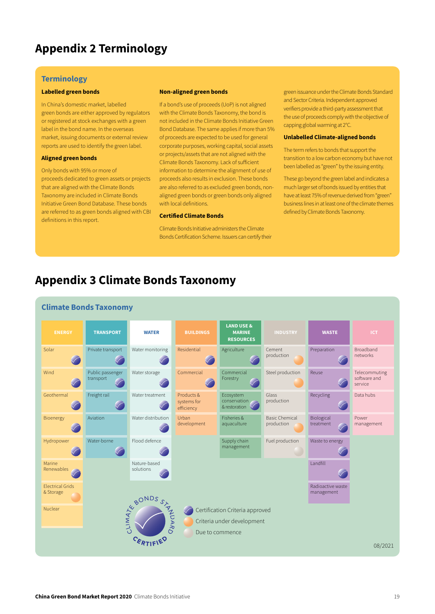# Appendix 2 Terminology

#### **Terminology**

#### Labelled green bonds

In China's domestic market, labelled green bonds are either approved by regulators or registered at stock exchanges with a green label in the bond name. In the overseas market, issuing documents or external review reports are used to identify the green label.

#### Aligned green bonds

Only bonds with 95% or more of proceeds dedicated to green assets or projects that are aligned with the Climate Bonds Taxonomy are included in Climate Bonds Initiative Green Bond Database. These bonds are referred to as green bonds aligned with CBI definitions in this report.

#### Non-aligned green bonds

If a bond's use of proceeds (UoP) is not aligned with the Climate Bonds Taxonomy, the bond is not included in the Climate Bonds Initiative Green Bond Database. The same applies if more than 5% of proceeds are expected to be used for general corporate purposes, working capital, social assets or projects/assets that are not aligned with the Climate Bonds Taxonomy. Lack of sufficient information to determine the alignment of use of proceeds also results in exclusion. These bonds are also referred to as excluded green bonds, nonaligned green bonds or green bonds only aligned with local definitions.

#### Certified Climate Bonds

Climate Bonds Initiative administers the Climate Bonds Certification Scheme. Issuers can certify their green issuance under the Climate Bonds Standard and Sector Criteria. Independent approved verifiers provide a third-party assessment that the use of proceeds comply with the objective of capping global warming at 2°C.

#### Unlabelled Climate-aligned bonds

The term refers to bonds that support the transition to a low carbon economy but have not been labelled as "green" by the issuing entity.

These go beyond the green label and indicates a much larger set of bonds issued by entities that have at least 75% of revenue derived from "green" business lines in at least one of the climate themes defined by Climate Bonds Taxonomy.

## Appendix 3 Climate Bonds Taxonomy

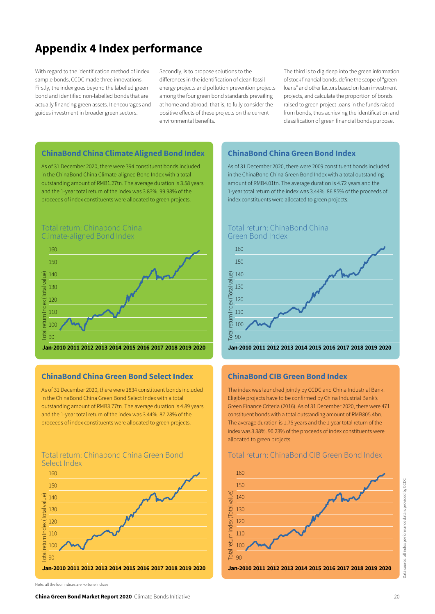# Appendix 4 Index performance

With regard to the identification method of index sample bonds, CCDC made three innovations. Firstly, the index goes beyond the labelled green bond and identified non-labelled bonds that are actually financing green assets. It encourages and guides investment in broader green sectors.

Secondly, is to propose solutions to the differences in the identification of clean fossil energy projects and pollution prevention projects among the four green bond standards prevailing at home and abroad, that is, to fully consider the positive effects of these projects on the current environmental benefits.

The third is to dig deep into the green information of stock financial bonds, define the scope of "green loans" and other factors based on loan investment projects, and calculate the proportion of bonds raised to green project loans in the funds raised from bonds, thus achieving the identification and classification of green financial bonds purpose.

#### ChinaBond China Climate Aligned Bond Index

As of 31 December 2020, there were 394 constituent bonds included in the ChinaBond China Climate-aligned Bond Index with a total outstanding amount of RMB1.27tn. The average duration is 3.58 years and the 1-year total return of the index was 3.83%. 99.98% of the proceeds of index constituents were allocated to green projects.

#### Total return: Chinabond China Climate-aligned Bond Index



## ChinaBond China Green Bond Select Index

As of 31 December 2020, there were 1834 constituent bonds included in the ChinaBond China Green Bond Select Index with a total outstanding amount of RMB3.77tn. The average duration is 4.89 years and the 1-year total return of the index was 3.44%. 87.28% of the proceeds of index constituents were allocated to green projects.

#### Total return: Chinabond China Green Bond Select Index



### ChinaBond China Green Bond Index

As of 31 December 2020, there were 2009 constituent bonds included in the ChinaBond China Green Bond Index with a total outstanding amount of RMB4.01tn. The average duration is 4.72 years and the 1-year total return of the index was 3.44%. 86.85% of the proceeds of index constituents were allocated to green projects.



#### Jan-2010 2011 2012 2013 2014 2015 2016 2018 2019 2020 2017

#### ChinaBond CIB Green Bond Index

The index was launched jointly by CCDC and China Industrial Bank. Eligible projects have to be confirmed by China Industrial Bank's Green Finance Criteria (2016). As of 31 December 2020, there were 471 constituent bonds with a total outstanding amount of RMB805.4bn. The average duration is 1.75 years and the 1-year total return of the index was 3.38%. 90.23% of the proceeds of index constituents were allocated to green projects.

#### Total return: ChinaBond CIB Green Bond Index



Note: all the four indices are Fortune Indices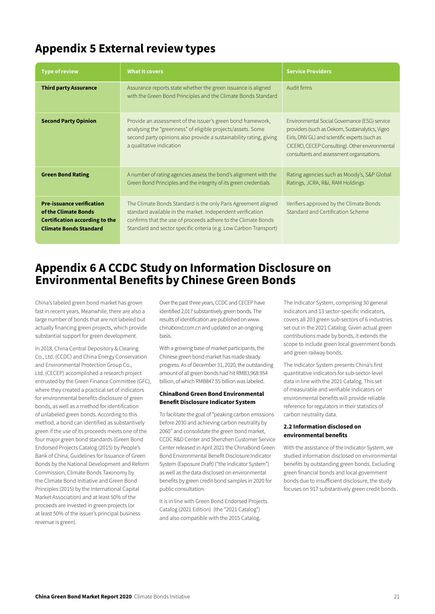# Appendix 5 External review types

| <b>Type of review</b>                                                                                                              | <b>What it covers</b>                                                                                                                                                                                                                                              | <b>Service Providers</b>                                                                                                                                                                                                                          |
|------------------------------------------------------------------------------------------------------------------------------------|--------------------------------------------------------------------------------------------------------------------------------------------------------------------------------------------------------------------------------------------------------------------|---------------------------------------------------------------------------------------------------------------------------------------------------------------------------------------------------------------------------------------------------|
| <b>Third party Assurance</b>                                                                                                       | Assurance reports state whether the green issuance is aligned<br>with the Green Bond Principles and the Climate Bonds Standard                                                                                                                                     | Audit firms                                                                                                                                                                                                                                       |
| <b>Second Party Opinion</b>                                                                                                        | Provide an assessment of the issuer's green bond framework,<br>analysing the "greenness" of eligible projects/assets. Some<br>second party opinions also provide a sustainability rating, giving<br>a qualitative indication                                       | Environmental Social Governance (ESG) service<br>providers (such as Oekom, Sustainalytics, Vigeo<br>Eiris, DNV GL) and scientific experts (such as<br>CICERO, CECEP Consulting). Other environmental<br>consultants and assessment organisations. |
| <b>Green Bond Rating</b>                                                                                                           | A number of rating agencies assess the bond's alignment with the<br>Green Bond Principles and the integrity of its green credentials                                                                                                                               | Rating agencies such as Moody's, S&P Global<br>Ratings, JCRA, R&I, RAM Holdings                                                                                                                                                                   |
| <b>Pre-issuance verification</b><br>of the Climate Bonds<br><b>Certification according to the</b><br><b>Climate Bonds Standard</b> | The Climate Bonds Standard is the only Paris Agreement aligned<br>standard available in the market. Independent verification<br>confirms that the use of proceeds adhere to the Climate Bonds<br>Standard and sector specific criteria (e.g. Low Carbon Transport) | Verifiers approved by the Climate Bonds<br>Standard and Certification Scheme                                                                                                                                                                      |

## Appendix 6 A CCDC Study on Information Disclosure on Environmental Benefits by Chinese Green Bonds

China's labeled green bond market has grown fast in recent years. Meanwhile, there are also a large number of bonds that are not labeled but actually financing green projects, which provide substantial support for green development.

In 2018, China Central Depository & Clearing Co., Ltd. (CCDC) and China Energy Conservation and Environmental Protection Group Co., Ltd. (CECEP) accomplished a research project entrusted by the Green Finance Committee (GFC), where they created a practical set of indicators for environmental benefits disclosure of green bonds, as well as a method for identification of unlabeled green bonds. According to this method, a bond can identified as substantively green if the use of its proceeds meets one of the four major green bond standards (Green Bond Endorsed Projects Catalog (2015) by People's Bank of China, Guidelines for Issuance of Green Bonds by the National Development and Reform Commission, Climate Bonds Taxonomy by the Climate Bond Initiative and Green Bond Principles (2015) by the International Capital Market Association) and at least 50% of the proceeds are invested in green projects (or at least 50% of the issuer's principal business revenue is green).

Over the past three years, CCDC and CECEP have identified 2,017 substantively green bonds. The results of identification are published on www. chinabond.com.cn and updated on an ongoing basis.

With a growing base of market participants, the Chinese green bond market has made steady progress. As of December 31, 2020, the outstanding amount of all green bonds had hit RMB3,968.954 billion, of which RMB847.55 billion was labeled.

#### ChinaBond Green Bond Environmental Benefit Disclosure Indicator System

To facilitate the goal of "peaking carbon emissions before 2030 and achieving carbon neutrality by 2060" and consolidate the green bond market, CCDC R&D Center and Shenzhen Customer Service Center released in April 2021 the ChinaBond Green Bond Environmental Benefit Disclosure Indicator System (Exposure Draft) ("the Indicator System") as well as the data disclosed on environmental benefits by green credit bond samples in 2020 for public consultation.

It is in line with Green Bond Endorsed Projects Catalog (2021 Edition) (the "2021 Catalog") and also compatible with the 2015 Catalog.

The Indicator System, comprising 30 general indicators and 13 sector-specific indicators, covers all 203 green sub-sectors of 6 industries set out in the 2021 Catalog. Given actual green contributions made by bonds, it extends the scope to include green local government bonds and green railway bonds.

The Indicator System presents China's first quantitative indicators for sub-sector-level data in line with the 2021 Catalog. This set of measurable and verifiable indicators on environmental benefits will provide reliable reference for regulators in their statistics of carbon neutrality data.

#### 2.2 Information disclosed on environmental benefits

With the assistance of the Indicator System, we studied information disclosed on environmental benefits by outstanding green bonds. Excluding green financial bonds and local government bonds due to insufficient disclosure, the study focuses on 917 substantively green credit bonds .